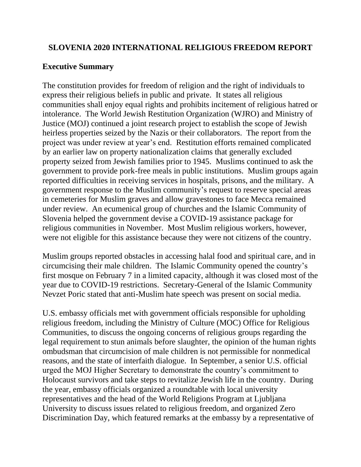## **SLOVENIA 2020 INTERNATIONAL RELIGIOUS FREEDOM REPORT**

## **Executive Summary**

The constitution provides for freedom of religion and the right of individuals to express their religious beliefs in public and private. It states all religious communities shall enjoy equal rights and prohibits incitement of religious hatred or intolerance. The World Jewish Restitution Organization (WJRO) and Ministry of Justice (MOJ) continued a joint research project to establish the scope of Jewish heirless properties seized by the Nazis or their collaborators. The report from the project was under review at year's end. Restitution efforts remained complicated by an earlier law on property nationalization claims that generally excluded property seized from Jewish families prior to 1945. Muslims continued to ask the government to provide pork-free meals in public institutions. Muslim groups again reported difficulties in receiving services in hospitals, prisons, and the military. A government response to the Muslim community's request to reserve special areas in cemeteries for Muslim graves and allow gravestones to face Mecca remained under review. An ecumenical group of churches and the Islamic Community of Slovenia helped the government devise a COVID-19 assistance package for religious communities in November. Most Muslim religious workers, however, were not eligible for this assistance because they were not citizens of the country.

Muslim groups reported obstacles in accessing halal food and spiritual care, and in circumcising their male children. The Islamic Community opened the country's first mosque on February 7 in a limited capacity, although it was closed most of the year due to COVID-19 restrictions. Secretary-General of the Islamic Community Nevzet Poric stated that anti-Muslim hate speech was present on social media.

U.S. embassy officials met with government officials responsible for upholding religious freedom, including the Ministry of Culture (MOC) Office for Religious Communities, to discuss the ongoing concerns of religious groups regarding the legal requirement to stun animals before slaughter, the opinion of the human rights ombudsman that circumcision of male children is not permissible for nonmedical reasons, and the state of interfaith dialogue. In September, a senior U.S. official urged the MOJ Higher Secretary to demonstrate the country's commitment to Holocaust survivors and take steps to revitalize Jewish life in the country. During the year, embassy officials organized a roundtable with local university representatives and the head of the World Religions Program at Ljubljana University to discuss issues related to religious freedom, and organized Zero Discrimination Day, which featured remarks at the embassy by a representative of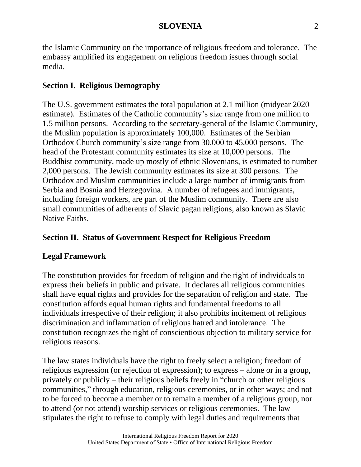the Islamic Community on the importance of religious freedom and tolerance. The embassy amplified its engagement on religious freedom issues through social media.

# **Section I. Religious Demography**

The U.S. government estimates the total population at 2.1 million (midyear 2020 estimate). Estimates of the Catholic community's size range from one million to 1.5 million persons. According to the secretary-general of the Islamic Community, the Muslim population is approximately 100,000. Estimates of the Serbian Orthodox Church community's size range from 30,000 to 45,000 persons. The head of the Protestant community estimates its size at 10,000 persons. The Buddhist community, made up mostly of ethnic Slovenians, is estimated to number 2,000 persons. The Jewish community estimates its size at 300 persons. The Orthodox and Muslim communities include a large number of immigrants from Serbia and Bosnia and Herzegovina. A number of refugees and immigrants, including foreign workers, are part of the Muslim community. There are also small communities of adherents of Slavic pagan religions, also known as Slavic Native Faiths.

# **Section II. Status of Government Respect for Religious Freedom**

## **Legal Framework**

The constitution provides for freedom of religion and the right of individuals to express their beliefs in public and private. It declares all religious communities shall have equal rights and provides for the separation of religion and state. The constitution affords equal human rights and fundamental freedoms to all individuals irrespective of their religion; it also prohibits incitement of religious discrimination and inflammation of religious hatred and intolerance. The constitution recognizes the right of conscientious objection to military service for religious reasons.

The law states individuals have the right to freely select a religion; freedom of religious expression (or rejection of expression); to express – alone or in a group, privately or publicly – their religious beliefs freely in "church or other religious communities," through education, religious ceremonies, or in other ways; and not to be forced to become a member or to remain a member of a religious group, nor to attend (or not attend) worship services or religious ceremonies. The law stipulates the right to refuse to comply with legal duties and requirements that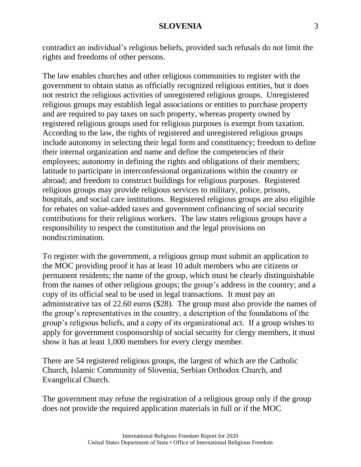contradict an individual's religious beliefs, provided such refusals do not limit the rights and freedoms of other persons.

The law enables churches and other religious communities to register with the government to obtain status as officially recognized religious entities, but it does not restrict the religious activities of unregistered religious groups. Unregistered religious groups may establish legal associations or entities to purchase property and are required to pay taxes on such property, whereas property owned by registered religious groups used for religious purposes is exempt from taxation. According to the law, the rights of registered and unregistered religious groups include autonomy in selecting their legal form and constituency; freedom to define their internal organization and name and define the competencies of their employees; autonomy in defining the rights and obligations of their members; latitude to participate in interconfessional organizations within the country or abroad; and freedom to construct buildings for religious purposes. Registered religious groups may provide religious services to military, police, prisons, hospitals, and social care institutions. Registered religious groups are also eligible for rebates on value-added taxes and government cofinancing of social security contributions for their religious workers. The law states religious groups have a responsibility to respect the constitution and the legal provisions on nondiscrimination.

To register with the government, a religious group must submit an application to the MOC providing proof it has at least 10 adult members who are citizens or permanent residents; the name of the group, which must be clearly distinguishable from the names of other religious groups; the group's address in the country; and a copy of its official seal to be used in legal transactions. It must pay an administrative tax of 22.60 euros (\$28). The group must also provide the names of the group's representatives in the country, a description of the foundations of the group's religious beliefs, and a copy of its organizational act. If a group wishes to apply for government cosponsorship of social security for clergy members, it must show it has at least 1,000 members for every clergy member.

There are 54 registered religious groups, the largest of which are the Catholic Church, Islamic Community of Slovenia, Serbian Orthodox Church, and Evangelical Church.

The government may refuse the registration of a religious group only if the group does not provide the required application materials in full or if the MOC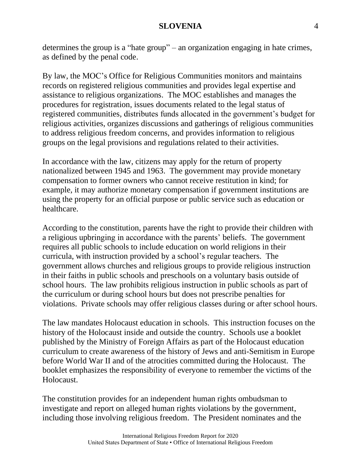determines the group is a "hate group" – an organization engaging in hate crimes, as defined by the penal code.

By law, the MOC's Office for Religious Communities monitors and maintains records on registered religious communities and provides legal expertise and assistance to religious organizations. The MOC establishes and manages the procedures for registration, issues documents related to the legal status of registered communities, distributes funds allocated in the government's budget for religious activities, organizes discussions and gatherings of religious communities to address religious freedom concerns, and provides information to religious groups on the legal provisions and regulations related to their activities.

In accordance with the law, citizens may apply for the return of property nationalized between 1945 and 1963. The government may provide monetary compensation to former owners who cannot receive restitution in kind; for example, it may authorize monetary compensation if government institutions are using the property for an official purpose or public service such as education or healthcare.

According to the constitution, parents have the right to provide their children with a religious upbringing in accordance with the parents' beliefs. The government requires all public schools to include education on world religions in their curricula, with instruction provided by a school's regular teachers. The government allows churches and religious groups to provide religious instruction in their faiths in public schools and preschools on a voluntary basis outside of school hours. The law prohibits religious instruction in public schools as part of the curriculum or during school hours but does not prescribe penalties for violations. Private schools may offer religious classes during or after school hours.

The law mandates Holocaust education in schools. This instruction focuses on the history of the Holocaust inside and outside the country. Schools use a booklet published by the Ministry of Foreign Affairs as part of the Holocaust education curriculum to create awareness of the history of Jews and anti-Semitism in Europe before World War II and of the atrocities committed during the Holocaust. The booklet emphasizes the responsibility of everyone to remember the victims of the Holocaust.

The constitution provides for an independent human rights ombudsman to investigate and report on alleged human rights violations by the government, including those involving religious freedom. The President nominates and the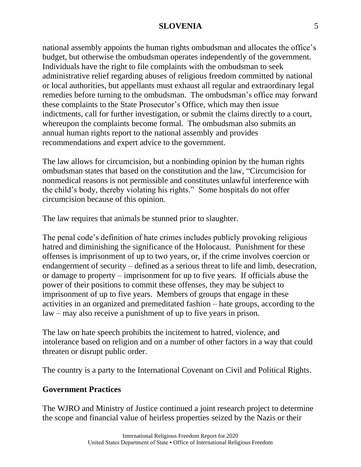national assembly appoints the human rights ombudsman and allocates the office's budget, but otherwise the ombudsman operates independently of the government. Individuals have the right to file complaints with the ombudsman to seek administrative relief regarding abuses of religious freedom committed by national or local authorities, but appellants must exhaust all regular and extraordinary legal remedies before turning to the ombudsman. The ombudsman's office may forward these complaints to the State Prosecutor's Office, which may then issue indictments, call for further investigation, or submit the claims directly to a court, whereupon the complaints become formal. The ombudsman also submits an annual human rights report to the national assembly and provides recommendations and expert advice to the government.

The law allows for circumcision, but a nonbinding opinion by the human rights ombudsman states that based on the constitution and the law, "Circumcision for nonmedical reasons is not permissible and constitutes unlawful interference with the child's body, thereby violating his rights." Some hospitals do not offer circumcision because of this opinion.

The law requires that animals be stunned prior to slaughter.

The penal code's definition of hate crimes includes publicly provoking religious hatred and diminishing the significance of the Holocaust. Punishment for these offenses is imprisonment of up to two years, or, if the crime involves coercion or endangerment of security – defined as a serious threat to life and limb, desecration, or damage to property – imprisonment for up to five years. If officials abuse the power of their positions to commit these offenses, they may be subject to imprisonment of up to five years. Members of groups that engage in these activities in an organized and premeditated fashion – hate groups, according to the law – may also receive a punishment of up to five years in prison.

The law on hate speech prohibits the incitement to hatred, violence, and intolerance based on religion and on a number of other factors in a way that could threaten or disrupt public order.

The country is a party to the International Covenant on Civil and Political Rights.

## **Government Practices**

The WJRO and Ministry of Justice continued a joint research project to determine the scope and financial value of heirless properties seized by the Nazis or their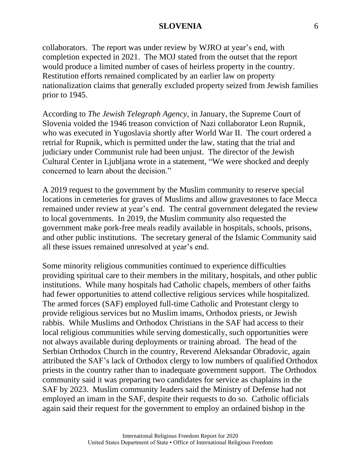collaborators. The report was under review by WJRO at year's end, with completion expected in 2021. The MOJ stated from the outset that the report would produce a limited number of cases of heirless property in the country. Restitution efforts remained complicated by an earlier law on property nationalization claims that generally excluded property seized from Jewish families prior to 1945.

According to *The Jewish Telegraph Agency*, in January, the Supreme Court of Slovenia voided the 1946 treason conviction of Nazi collaborator Leon Rupnik, who was executed in Yugoslavia shortly after World War II. The court ordered a retrial for Rupnik, which is permitted under the law, stating that the trial and judiciary under Communist rule had been unjust. The director of the Jewish Cultural Center in Ljubljana wrote in a statement, "We were shocked and deeply concerned to learn about the decision."

A 2019 request to the government by the Muslim community to reserve special locations in cemeteries for graves of Muslims and allow gravestones to face Mecca remained under review at year's end. The central government delegated the review to local governments. In 2019, the Muslim community also requested the government make pork-free meals readily available in hospitals, schools, prisons, and other public institutions. The secretary general of the Islamic Community said all these issues remained unresolved at year's end.

Some minority religious communities continued to experience difficulties providing spiritual care to their members in the military, hospitals, and other public institutions. While many hospitals had Catholic chapels, members of other faiths had fewer opportunities to attend collective religious services while hospitalized. The armed forces (SAF) employed full-time Catholic and Protestant clergy to provide religious services but no Muslim imams, Orthodox priests, or Jewish rabbis. While Muslims and Orthodox Christians in the SAF had access to their local religious communities while serving domestically, such opportunities were not always available during deployments or training abroad. The head of the Serbian Orthodox Church in the country, Reverend Aleksandar Obradovic, again attributed the SAF's lack of Orthodox clergy to low numbers of qualified Orthodox priests in the country rather than to inadequate government support. The Orthodox community said it was preparing two candidates for service as chaplains in the SAF by 2023. Muslim community leaders said the Ministry of Defense had not employed an imam in the SAF, despite their requests to do so. Catholic officials again said their request for the government to employ an ordained bishop in the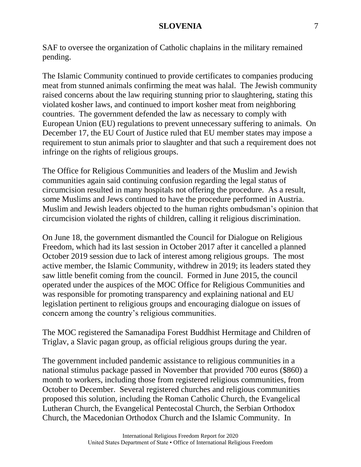SAF to oversee the organization of Catholic chaplains in the military remained pending.

The Islamic Community continued to provide certificates to companies producing meat from stunned animals confirming the meat was halal. The Jewish community raised concerns about the law requiring stunning prior to slaughtering, stating this violated kosher laws, and continued to import kosher meat from neighboring countries. The government defended the law as necessary to comply with European Union (EU) regulations to prevent unnecessary suffering to animals. On December 17, the EU Court of Justice ruled that EU member states may impose a requirement to stun animals prior to slaughter and that such a requirement does not infringe on the rights of religious groups.

The Office for Religious Communities and leaders of the Muslim and Jewish communities again said continuing confusion regarding the legal status of circumcision resulted in many hospitals not offering the procedure. As a result, some Muslims and Jews continued to have the procedure performed in Austria. Muslim and Jewish leaders objected to the human rights ombudsman's opinion that circumcision violated the rights of children, calling it religious discrimination.

On June 18, the government dismantled the Council for Dialogue on Religious Freedom, which had its last session in October 2017 after it cancelled a planned October 2019 session due to lack of interest among religious groups. The most active member, the Islamic Community, withdrew in 2019; its leaders stated they saw little benefit coming from the council. Formed in June 2015, the council operated under the auspices of the MOC Office for Religious Communities and was responsible for promoting transparency and explaining national and EU legislation pertinent to religious groups and encouraging dialogue on issues of concern among the country's religious communities.

The MOC registered the Samanadipa Forest Buddhist Hermitage and Children of Triglav, a Slavic pagan group, as official religious groups during the year.

The government included pandemic assistance to religious communities in a national stimulus package passed in November that provided 700 euros (\$860) a month to workers, including those from registered religious communities, from October to December. Several registered churches and religious communities proposed this solution, including the Roman Catholic Church, the Evangelical Lutheran Church, the Evangelical Pentecostal Church, the Serbian Orthodox Church, the Macedonian Orthodox Church and the Islamic Community. In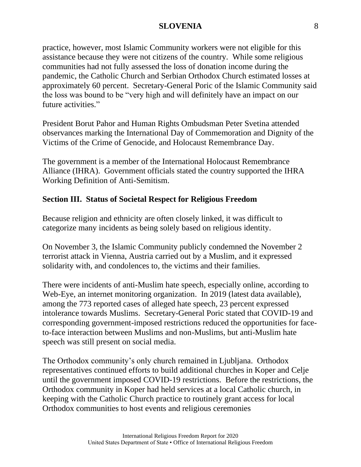practice, however, most Islamic Community workers were not eligible for this assistance because they were not citizens of the country. While some religious communities had not fully assessed the loss of donation income during the pandemic, the Catholic Church and Serbian Orthodox Church estimated losses at approximately 60 percent. Secretary-General Poric of the Islamic Community said the loss was bound to be "very high and will definitely have an impact on our future activities."

President Borut Pahor and Human Rights Ombudsman Peter Svetina attended observances marking the International Day of Commemoration and Dignity of the Victims of the Crime of Genocide, and Holocaust Remembrance Day.

The government is a member of the International Holocaust Remembrance Alliance (IHRA). Government officials stated the country supported the IHRA Working Definition of Anti-Semitism.

## **Section III. Status of Societal Respect for Religious Freedom**

Because religion and ethnicity are often closely linked, it was difficult to categorize many incidents as being solely based on religious identity.

On November 3, the Islamic Community publicly condemned the November 2 terrorist attack in Vienna, Austria carried out by a Muslim, and it expressed solidarity with, and condolences to, the victims and their families.

There were incidents of anti-Muslim hate speech, especially online, according to Web-Eye, an internet monitoring organization. In 2019 (latest data available), among the 773 reported cases of alleged hate speech, 23 percent expressed intolerance towards Muslims. Secretary-General Poric stated that COVID-19 and corresponding government-imposed restrictions reduced the opportunities for faceto-face interaction between Muslims and non-Muslims, but anti-Muslim hate speech was still present on social media.

The Orthodox community's only church remained in Ljubljana. Orthodox representatives continued efforts to build additional churches in Koper and Celje until the government imposed COVID-19 restrictions. Before the restrictions, the Orthodox community in Koper had held services at a local Catholic church, in keeping with the Catholic Church practice to routinely grant access for local Orthodox communities to host events and religious ceremonies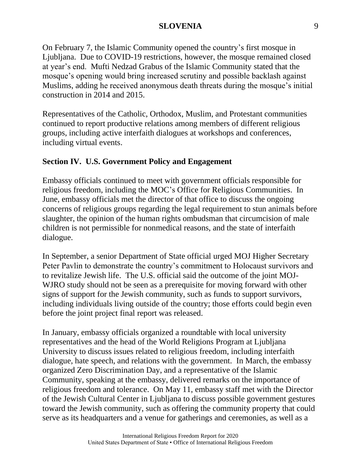On February 7, the Islamic Community opened the country's first mosque in Ljubljana. Due to COVID-19 restrictions, however, the mosque remained closed at year's end. Mufti Nedzad Grabus of the Islamic Community stated that the mosque's opening would bring increased scrutiny and possible backlash against Muslims, adding he received anonymous death threats during the mosque's initial construction in 2014 and 2015.

Representatives of the Catholic, Orthodox, Muslim, and Protestant communities continued to report productive relations among members of different religious groups, including active interfaith dialogues at workshops and conferences, including virtual events.

## **Section IV. U.S. Government Policy and Engagement**

Embassy officials continued to meet with government officials responsible for religious freedom, including the MOC's Office for Religious Communities. In June, embassy officials met the director of that office to discuss the ongoing concerns of religious groups regarding the legal requirement to stun animals before slaughter, the opinion of the human rights ombudsman that circumcision of male children is not permissible for nonmedical reasons, and the state of interfaith dialogue.

In September, a senior Department of State official urged MOJ Higher Secretary Peter Pavlin to demonstrate the country's commitment to Holocaust survivors and to revitalize Jewish life. The U.S. official said the outcome of the joint MOJ-WJRO study should not be seen as a prerequisite for moving forward with other signs of support for the Jewish community, such as funds to support survivors, including individuals living outside of the country; those efforts could begin even before the joint project final report was released.

In January, embassy officials organized a roundtable with local university representatives and the head of the World Religions Program at Ljubljana University to discuss issues related to religious freedom, including interfaith dialogue, hate speech, and relations with the government. In March, the embassy organized Zero Discrimination Day, and a representative of the Islamic Community, speaking at the embassy, delivered remarks on the importance of religious freedom and tolerance. On May 11, embassy staff met with the Director of the Jewish Cultural Center in Ljubljana to discuss possible government gestures toward the Jewish community, such as offering the community property that could serve as its headquarters and a venue for gatherings and ceremonies, as well as a